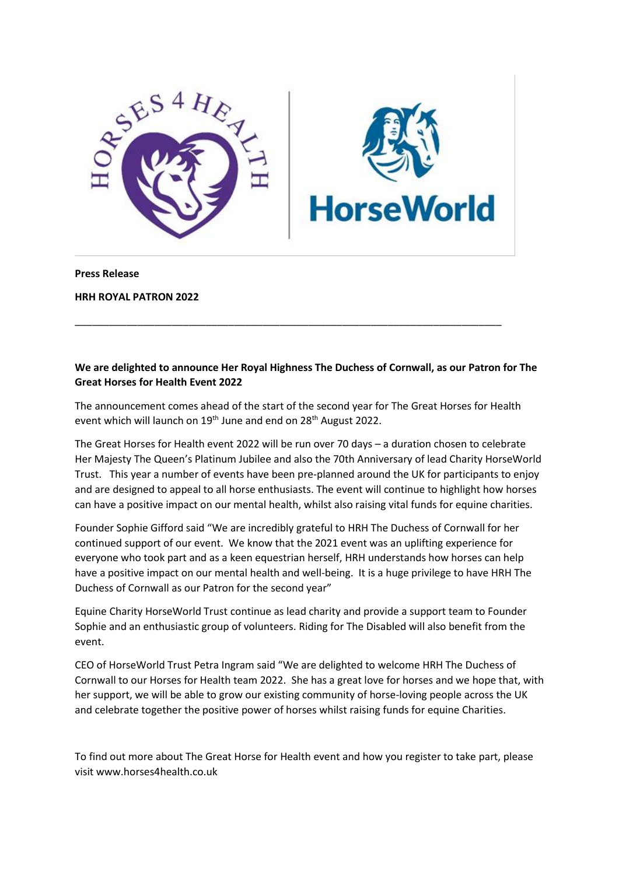

**Press Release**

**HRH ROYAL PATRON 2022**

## **We are delighted to announce Her Royal Highness The Duchess of Cornwall, as our Patron for The Great Horses for Health Event 2022**

The announcement comes ahead of the start of the second year for The Great Horses for Health event which will launch on 19<sup>th</sup> June and end on 28<sup>th</sup> August 2022.

\_\_\_\_\_\_\_\_\_\_\_\_\_\_\_\_\_\_\_\_\_\_\_\_\_\_\_\_\_\_\_\_\_\_\_\_\_\_\_\_\_\_\_\_\_\_\_\_\_\_\_\_\_\_\_\_\_\_\_\_\_\_\_\_\_\_\_\_\_\_\_\_\_\_\_

The Great Horses for Health event 2022 will be run over 70 days – a duration chosen to celebrate Her Majesty The Queen's Platinum Jubilee and also the 70th Anniversary of lead Charity HorseWorld Trust. This year a number of events have been pre-planned around the UK for participants to enjoy and are designed to appeal to all horse enthusiasts. The event will continue to highlight how horses can have a positive impact on our mental health, whilst also raising vital funds for equine charities.

Founder Sophie Gifford said "We are incredibly grateful to HRH The Duchess of Cornwall for her continued support of our event. We know that the 2021 event was an uplifting experience for everyone who took part and as a keen equestrian herself, HRH understands how horses can help have a positive impact on our mental health and well-being. It is a huge privilege to have HRH The Duchess of Cornwall as our Patron for the second year"

Equine Charity HorseWorld Trust continue as lead charity and provide a support team to Founder Sophie and an enthusiastic group of volunteers. Riding for The Disabled will also benefit from the event.

CEO of HorseWorld Trust Petra Ingram said "We are delighted to welcome HRH The Duchess of Cornwall to our Horses for Health team 2022. She has a great love for horses and we hope that, with her support, we will be able to grow our existing community of horse-loving people across the UK and celebrate together the positive power of horses whilst raising funds for equine Charities.

To find out more about The Great Horse for Health event and how you register to take part, please visit www.horses4health.co.uk